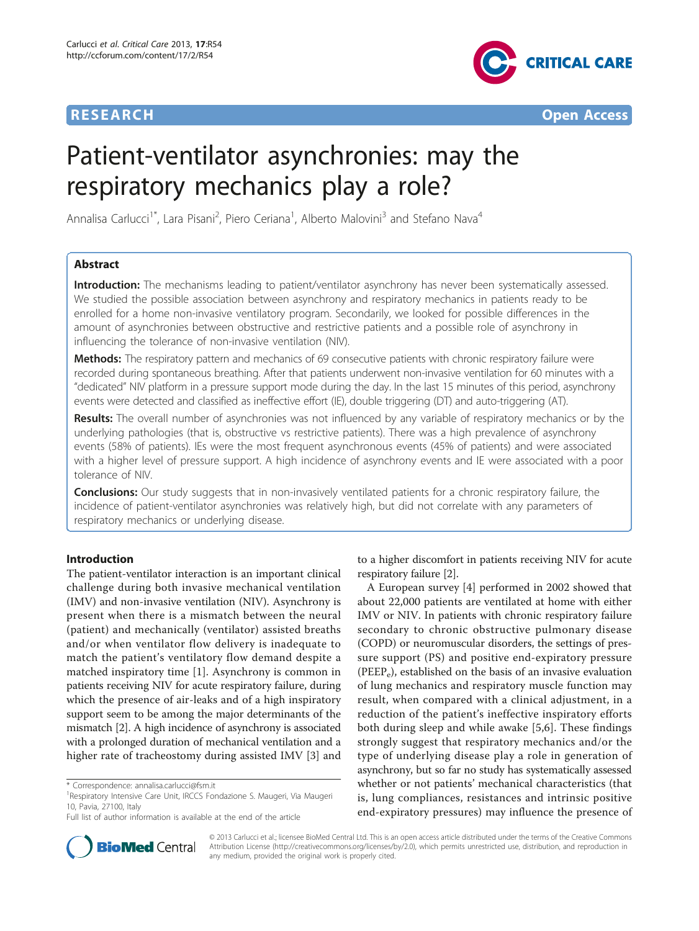



# Patient-ventilator asynchronies: may the respiratory mechanics play a role?

Annalisa Carlucci<sup>1\*</sup>, Lara Pisani<sup>2</sup>, Piero Ceriana<sup>1</sup>, Alberto Malovini<sup>3</sup> and Stefano Nava<sup>4</sup>

# Abstract

Introduction: The mechanisms leading to patient/ventilator asynchrony has never been systematically assessed. We studied the possible association between asynchrony and respiratory mechanics in patients ready to be enrolled for a home non-invasive ventilatory program. Secondarily, we looked for possible differences in the amount of asynchronies between obstructive and restrictive patients and a possible role of asynchrony in influencing the tolerance of non-invasive ventilation (NIV).

Methods: The respiratory pattern and mechanics of 69 consecutive patients with chronic respiratory failure were recorded during spontaneous breathing. After that patients underwent non-invasive ventilation for 60 minutes with a "dedicated" NIV platform in a pressure support mode during the day. In the last 15 minutes of this period, asynchrony events were detected and classified as ineffective effort (IE), double triggering (DT) and auto-triggering (AT).

Results: The overall number of asynchronies was not influenced by any variable of respiratory mechanics or by the underlying pathologies (that is, obstructive vs restrictive patients). There was a high prevalence of asynchrony events (58% of patients). IEs were the most frequent asynchronous events (45% of patients) and were associated with a higher level of pressure support. A high incidence of asynchrony events and IE were associated with a poor tolerance of NIV.

**Conclusions:** Our study suggests that in non-invasively ventilated patients for a chronic respiratory failure, the incidence of patient-ventilator asynchronies was relatively high, but did not correlate with any parameters of respiratory mechanics or underlying disease.

# Introduction

The patient-ventilator interaction is an important clinical challenge during both invasive mechanical ventilation (IMV) and non-invasive ventilation (NIV). Asynchrony is present when there is a mismatch between the neural (patient) and mechanically (ventilator) assisted breaths and/or when ventilator flow delivery is inadequate to match the patient's ventilatory flow demand despite a matched inspiratory time [[1\]](#page-6-0). Asynchrony is common in patients receiving NIV for acute respiratory failure, during which the presence of air-leaks and of a high inspiratory support seem to be among the major determinants of the mismatch [\[2](#page-6-0)]. A high incidence of asynchrony is associated with a prolonged duration of mechanical ventilation and a higher rate of tracheostomy during assisted IMV [\[3](#page-6-0)] and



A European survey [[4](#page-6-0)] performed in 2002 showed that about 22,000 patients are ventilated at home with either IMV or NIV. In patients with chronic respiratory failure secondary to chronic obstructive pulmonary disease (COPD) or neuromuscular disorders, the settings of pressure support (PS) and positive end-expiratory pressure (PEEPe), established on the basis of an invasive evaluation of lung mechanics and respiratory muscle function may result, when compared with a clinical adjustment, in a reduction of the patient's ineffective inspiratory efforts both during sleep and while awake [[5,6\]](#page-6-0). These findings strongly suggest that respiratory mechanics and/or the type of underlying disease play a role in generation of asynchrony, but so far no study has systematically assessed whether or not patients' mechanical characteristics (that is, lung compliances, resistances and intrinsic positive end-expiratory pressures) may influence the presence of



© 2013 Carlucci et al.; licensee BioMed Central Ltd. This is an open access article distributed under the terms of the Creative Commons Attribution License [\(http://creativecommons.org/licenses/by/2.0](http://creativecommons.org/licenses/by/2.0)), which permits unrestricted use, distribution, and reproduction in any medium, provided the original work is properly cited.

<sup>\*</sup> Correspondence: [annalisa.carlucci@fsm.it](mailto:annalisa.carlucci@fsm.it)

<sup>&</sup>lt;sup>1</sup> Respiratory Intensive Care Unit, IRCCS Fondazione S. Maugeri, Via Maugeri 10, Pavia, 27100, Italy

Full list of author information is available at the end of the article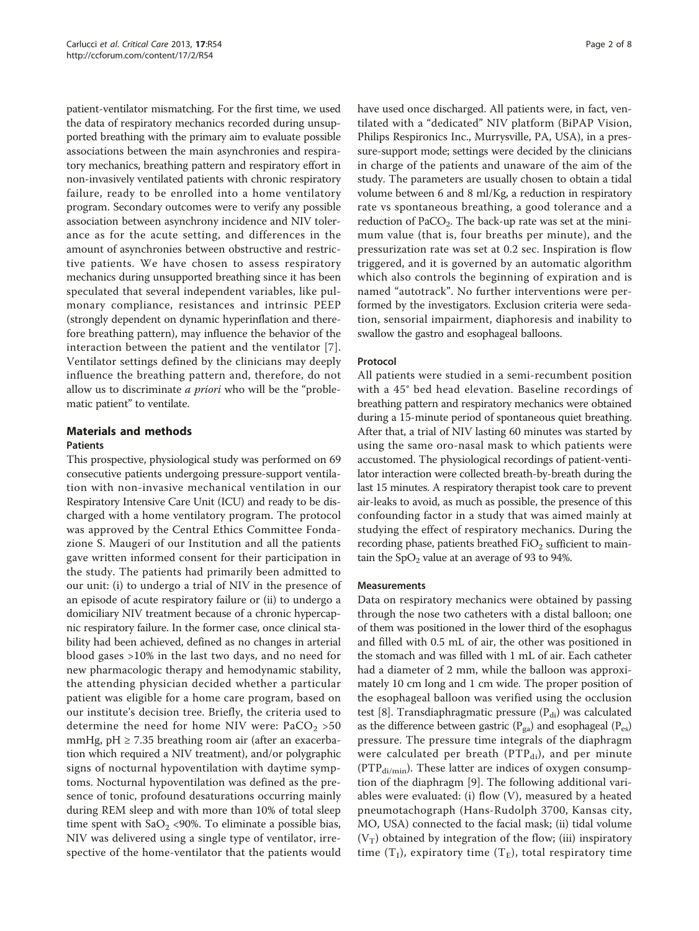patient-ventilator mismatching. For the first time, we used the data of respiratory mechanics recorded during unsupported breathing with the primary aim to evaluate possible associations between the main asynchronies and respiratory mechanics, breathing pattern and respiratory effort in non-invasively ventilated patients with chronic respiratory failure, ready to be enrolled into a home ventilatory program. Secondary outcomes were to verify any possible association between asynchrony incidence and NIV tolerance as for the acute setting, and differences in the amount of asynchronies between obstructive and restrictive patients. We have chosen to assess respiratory mechanics during unsupported breathing since it has been speculated that several independent variables, like pulmonary compliance, resistances and intrinsic PEEP (strongly dependent on dynamic hyperinflation and therefore breathing pattern), may influence the behavior of the interaction between the patient and the ventilator [[7\]](#page-6-0). Ventilator settings defined by the clinicians may deeply influence the breathing pattern and, therefore, do not allow us to discriminate *a priori* who will be the "problematic patient" to ventilate.

# Materials and methods

# **Patients**

This prospective, physiological study was performed on 69 consecutive patients undergoing pressure-support ventilation with non-invasive mechanical ventilation in our Respiratory Intensive Care Unit (ICU) and ready to be discharged with a home ventilatory program. The protocol was approved by the Central Ethics Committee Fondazione S. Maugeri of our Institution and all the patients gave written informed consent for their participation in the study. The patients had primarily been admitted to our unit: (i) to undergo a trial of NIV in the presence of an episode of acute respiratory failure or (ii) to undergo a domiciliary NIV treatment because of a chronic hypercapnic respiratory failure. In the former case, once clinical stability had been achieved, defined as no changes in arterial blood gases >10% in the last two days, and no need for new pharmacologic therapy and hemodynamic stability, the attending physician decided whether a particular patient was eligible for a home care program, based on our institute's decision tree. Briefly, the criteria used to determine the need for home NIV were:  $PaCO<sub>2</sub> > 50$ mmHg,  $pH \ge 7.35$  breathing room air (after an exacerbation which required a NIV treatment), and/or polygraphic signs of nocturnal hypoventilation with daytime symptoms. Nocturnal hypoventilation was defined as the presence of tonic, profound desaturations occurring mainly during REM sleep and with more than 10% of total sleep time spent with  $SaO<sub>2</sub>$  <90%. To eliminate a possible bias, NIV was delivered using a single type of ventilator, irrespective of the home-ventilator that the patients would have used once discharged. All patients were, in fact, ventilated with a "dedicated" NIV platform (BiPAP Vision, Philips Respironics Inc., Murrysville, PA, USA), in a pressure-support mode; settings were decided by the clinicians in charge of the patients and unaware of the aim of the study. The parameters are usually chosen to obtain a tidal volume between 6 and 8 ml/Kg, a reduction in respiratory rate vs spontaneous breathing, a good tolerance and a reduction of  $PaCO<sub>2</sub>$ . The back-up rate was set at the minimum value (that is, four breaths per minute), and the pressurization rate was set at 0.2 sec. Inspiration is flow triggered, and it is governed by an automatic algorithm which also controls the beginning of expiration and is named "autotrack". No further interventions were performed by the investigators. Exclusion criteria were sedation, sensorial impairment, diaphoresis and inability to swallow the gastro and esophageal balloons.

# Protocol

All patients were studied in a semi-recumbent position with a 45° bed head elevation. Baseline recordings of breathing pattern and respiratory mechanics were obtained during a 15-minute period of spontaneous quiet breathing. After that, a trial of NIV lasting 60 minutes was started by using the same oro-nasal mask to which patients were accustomed. The physiological recordings of patient-ventilator interaction were collected breath-by-breath during the last 15 minutes. A respiratory therapist took care to prevent air-leaks to avoid, as much as possible, the presence of this confounding factor in a study that was aimed mainly at studying the effect of respiratory mechanics. During the recording phase, patients breathed  $FiO<sub>2</sub>$  sufficient to maintain the  $SpO<sub>2</sub>$  value at an average of 93 to 94%.

## Measurements

Data on respiratory mechanics were obtained by passing through the nose two catheters with a distal balloon; one of them was positioned in the lower third of the esophagus and filled with 0.5 mL of air, the other was positioned in the stomach and was filled with 1 mL of air. Each catheter had a diameter of 2 mm, while the balloon was approximately 10 cm long and 1 cm wide. The proper position of the esophageal balloon was verified using the occlusion test [\[8](#page-7-0)]. Transdiaphragmatic pressure  $(P_{di})$  was calculated as the difference between gastric ( $P_{ga}$ ) and esophageal ( $P_{es}$ ) pressure. The pressure time integrals of the diaphragm were calculated per breath ( $PTP_{di}$ ), and per minute  $(PTP_{di/min})$ . These latter are indices of oxygen consumption of the diaphragm [[9\]](#page-7-0). The following additional variables were evaluated: (i) flow (V), measured by a heated pneumotachograph (Hans-Rudolph 3700, Kansas city, MO, USA) connected to the facial mask; (ii) tidal volume  $(V_T)$  obtained by integration of the flow; (iii) inspiratory time  $(T<sub>I</sub>)$ , expiratory time  $(T<sub>E</sub>)$ , total respiratory time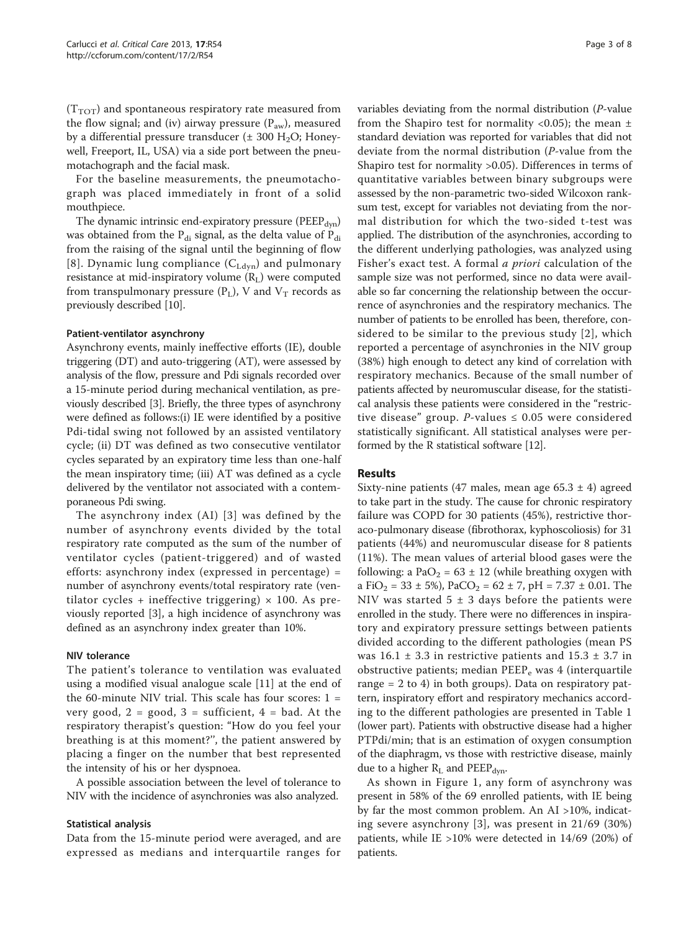$(T_{TOT})$  and spontaneous respiratory rate measured from the flow signal; and (iv) airway pressure  $(P_{aw})$ , measured by a differential pressure transducer ( $\pm$  300 H<sub>2</sub>O; Honeywell, Freeport, IL, USA) via a side port between the pneumotachograph and the facial mask.

For the baseline measurements, the pneumotachograph was placed immediately in front of a solid mouthpiece.

The dynamic intrinsic end-expiratory pressure ( $PEEP_{dyn}$ ) was obtained from the  $P_{di}$  signal, as the delta value of  $P_{di}$ from the raising of the signal until the beginning of flow [[8](#page-7-0)]. Dynamic lung compliance  $(C_{Ldyn})$  and pulmonary resistance at mid-inspiratory volume  $(R_L)$  were computed from transpulmonary pressure  $(P_L)$ , V and  $V_T$  records as previously described [\[10\]](#page-7-0).

## Patient-ventilator asynchrony

Asynchrony events, mainly ineffective efforts (IE), double triggering (DT) and auto-triggering (AT), were assessed by analysis of the flow, pressure and Pdi signals recorded over a 15-minute period during mechanical ventilation, as previously described [\[3](#page-6-0)]. Briefly, the three types of asynchrony were defined as follows:(i) IE were identified by a positive Pdi-tidal swing not followed by an assisted ventilatory cycle; (ii) DT was defined as two consecutive ventilator cycles separated by an expiratory time less than one-half the mean inspiratory time; (iii) AT was defined as a cycle delivered by the ventilator not associated with a contemporaneous Pdi swing.

The asynchrony index (AI) [[3\]](#page-6-0) was defined by the number of asynchrony events divided by the total respiratory rate computed as the sum of the number of ventilator cycles (patient-triggered) and of wasted efforts: asynchrony index (expressed in percentage) = number of asynchrony events/total respiratory rate (ventilator cycles + ineffective triggering)  $\times$  100. As previously reported [[3\]](#page-6-0), a high incidence of asynchrony was defined as an asynchrony index greater than 10%.

# NIV tolerance

The patient's tolerance to ventilation was evaluated using a modified visual analogue scale [[11\]](#page-7-0) at the end of the 60-minute NIV trial. This scale has four scores:  $1 =$ very good,  $2 = \text{good}$ ,  $3 = \text{suffixient}$ ,  $4 = \text{bad}$ . At the respiratory therapist's question: "How do you feel your breathing is at this moment?'', the patient answered by placing a finger on the number that best represented the intensity of his or her dyspnoea.

A possible association between the level of tolerance to NIV with the incidence of asynchronies was also analyzed.

## Statistical analysis

Data from the 15-minute period were averaged, and are expressed as medians and interquartile ranges for variables deviating from the normal distribution (P-value from the Shapiro test for normality <0.05); the mean  $\pm$ standard deviation was reported for variables that did not deviate from the normal distribution (P-value from the Shapiro test for normality >0.05). Differences in terms of quantitative variables between binary subgroups were assessed by the non-parametric two-sided Wilcoxon ranksum test, except for variables not deviating from the normal distribution for which the two-sided t-test was applied. The distribution of the asynchronies, according to the different underlying pathologies, was analyzed using Fisher's exact test. A formal a priori calculation of the sample size was not performed, since no data were available so far concerning the relationship between the occurrence of asynchronies and the respiratory mechanics. The number of patients to be enrolled has been, therefore, considered to be similar to the previous study [\[2\]](#page-6-0), which reported a percentage of asynchronies in the NIV group (38%) high enough to detect any kind of correlation with respiratory mechanics. Because of the small number of patients affected by neuromuscular disease, for the statistical analysis these patients were considered in the "restrictive disease" group. P-values  $\leq 0.05$  were considered statistically significant. All statistical analyses were performed by the R statistical software [\[12](#page-7-0)].

# Results

Sixty-nine patients (47 males, mean age 65.3  $\pm$  4) agreed to take part in the study. The cause for chronic respiratory failure was COPD for 30 patients (45%), restrictive thoraco-pulmonary disease (fibrothorax, kyphoscoliosis) for 31 patients (44%) and neuromuscular disease for 8 patients (11%). The mean values of arterial blood gases were the following: a PaO<sub>2</sub> = 63  $\pm$  12 (while breathing oxygen with a FiO<sub>2</sub> = 33 ± 5%), PaCO<sub>2</sub> = 62 ± 7, pH = 7.37 ± 0.01. The NIV was started  $5 \pm 3$  days before the patients were enrolled in the study. There were no differences in inspiratory and expiratory pressure settings between patients divided according to the different pathologies (mean PS was  $16.1 \pm 3.3$  in restrictive patients and  $15.3 \pm 3.7$  in obstructive patients; median  $PEEP_e$  was 4 (interquartile range  $= 2$  to 4) in both groups). Data on respiratory pattern, inspiratory effort and respiratory mechanics according to the different pathologies are presented in Table [1](#page-3-0) (lower part). Patients with obstructive disease had a higher PTPdi/min; that is an estimation of oxygen consumption of the diaphragm, vs those with restrictive disease, mainly due to a higher  $R_L$  and  $PEEP_{dyn}$ .

As shown in Figure [1](#page-3-0), any form of asynchrony was present in 58% of the 69 enrolled patients, with IE being by far the most common problem. An AI >10%, indicating severe asynchrony [[3\]](#page-6-0), was present in 21/69 (30%) patients, while IE >10% were detected in 14/69 (20%) of patients.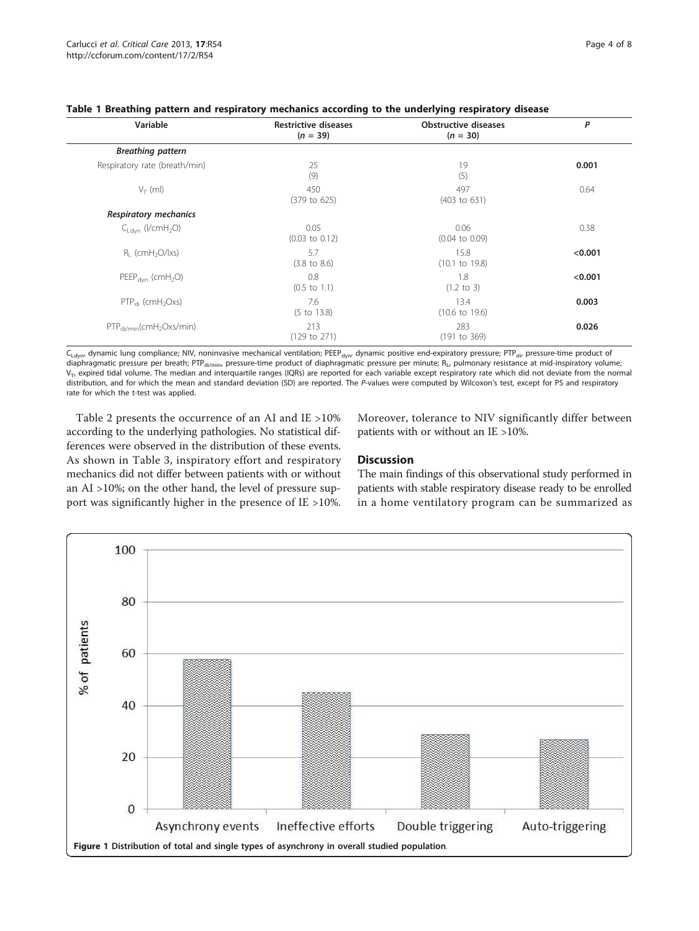<span id="page-3-0"></span>

|  |  |  | Table 1 Breathing pattern and respiratory mechanics according to the underlying respiratory disease |  |  |  |  |  |  |
|--|--|--|-----------------------------------------------------------------------------------------------------|--|--|--|--|--|--|
|--|--|--|-----------------------------------------------------------------------------------------------------|--|--|--|--|--|--|

| Variable                                  | <b>Restrictive diseases</b><br>$(n = 39)$ | <b>Obstructive diseases</b><br>$(n = 30)$ | P       |
|-------------------------------------------|-------------------------------------------|-------------------------------------------|---------|
| <b>Breathing pattern</b>                  |                                           |                                           |         |
| Respiratory rate (breath/min)             | 25<br>(9)                                 | 19<br>(5)                                 | 0.001   |
| $V_T$ (ml)                                | 450<br>(379 to 625)                       | 497<br>(403 to 631)                       | 0.64    |
| <b>Respiratory mechanics</b>              |                                           |                                           |         |
| $C_{1 \text{dyn}}$ (I/cmH <sub>2</sub> O) | 0.05<br>$(0.03 \text{ to } 0.12)$         | 0.06<br>$(0.04 \text{ to } 0.09)$         | 0.38    |
| $R_1$ (cmH <sub>2</sub> O/lxs)            | 5.7<br>$(3.8 \text{ to } 8.6)$            | 15.8<br>$(10.1 \text{ to } 19.8)$         | < 0.001 |
| $PEEP_{dyn}$ (cmH <sub>2</sub> O)         | 0.8<br>$(0.5 \text{ to } 1.1)$            | 1.8<br>$(1.2 \text{ to } 3)$              | < 0.001 |
| $PTP_{di}$ (cmH <sub>2</sub> Oxs)         | 7.6<br>$(5 \text{ to } 13.8)$             | 13.4<br>$(10.6 \text{ to } 19.6)$         | 0.003   |
| $PTP_{\text{di/min}}(cmH_2Oxs/min)$       | 213<br>(129 to 271)                       | 283<br>(191 to 369)                       | 0.026   |

 $C_{Ldyn}$ , dynamic lung compliance; NIV, noninvasive mechanical ventilation; PEEP<sub>dyn</sub>, dynamic positive end-expiratory pressure; PTP<sub>di</sub>, pressure-time product of diaphragmatic pressure per breath; PTP<sub>di/min</sub>, pressure-time product of diaphragmatic pressure per minute; R<sub>L</sub>, pulmonary resistance at mid-inspiratory volume;  $V_T$ , expired tidal volume. The median and interquartile ranges (IQRs) are reported for each variable except respiratory rate which did not deviate from the normal distribution, and for which the mean and standard deviation (SD) are reported. The P-values were computed by Wilcoxon's test, except for PS and respiratory rate for which the t-test was applied.

Table [2](#page-4-0) presents the occurrence of an AI and IE >10% according to the underlying pathologies. No statistical differences were observed in the distribution of these events. As shown in Table [3,](#page-4-0) inspiratory effort and respiratory mechanics did not differ between patients with or without an AI >10%; on the other hand, the level of pressure support was significantly higher in the presence of IE >10%. Moreover, tolerance to NIV significantly differ between patients with or without an IE >10%.

# **Discussion**

The main findings of this observational study performed in patients with stable respiratory disease ready to be enrolled in a home ventilatory program can be summarized as

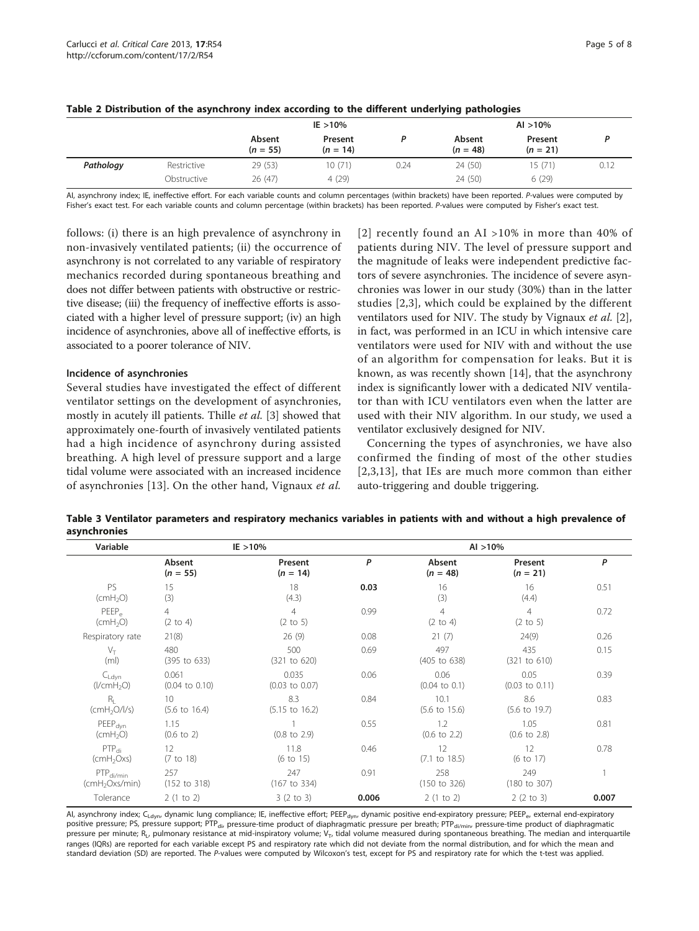|           |             | $IE > 10\%$          |                       |      |                      | $Al > 10\%$           |      |  |  |
|-----------|-------------|----------------------|-----------------------|------|----------------------|-----------------------|------|--|--|
|           |             | Absent<br>$(n = 55)$ | Present<br>$(n = 14)$ |      | Absent<br>$(n = 48)$ | Present<br>$(n = 21)$ |      |  |  |
| Pathology | Restrictive | 29 (53)              | 10(71)                | 0.24 | 24 (50)              | 15(71)                | 0.12 |  |  |
|           | Obstructive | 26(47)               | 4(29)                 |      | 24 (50)              | 6(29)                 |      |  |  |

<span id="page-4-0"></span>

|  |  | Table 2 Distribution of the asynchrony index according to the different underlying pathologies |  |
|--|--|------------------------------------------------------------------------------------------------|--|
|--|--|------------------------------------------------------------------------------------------------|--|

AI, asynchrony index; IE, ineffective effort. For each variable counts and column percentages (within brackets) have been reported. P-values were computed by Fisher's exact test. For each variable counts and column percentage (within brackets) has been reported. P-values were computed by Fisher's exact test.

follows: (i) there is an high prevalence of asynchrony in non-invasively ventilated patients; (ii) the occurrence of asynchrony is not correlated to any variable of respiratory mechanics recorded during spontaneous breathing and does not differ between patients with obstructive or restrictive disease; (iii) the frequency of ineffective efforts is associated with a higher level of pressure support; (iv) an high incidence of asynchronies, above all of ineffective efforts, is associated to a poorer tolerance of NIV.

## Incidence of asynchronies

Several studies have investigated the effect of different ventilator settings on the development of asynchronies, mostly in acutely ill patients. Thille et al. [[3\]](#page-6-0) showed that approximately one-fourth of invasively ventilated patients had a high incidence of asynchrony during assisted breathing. A high level of pressure support and a large tidal volume were associated with an increased incidence of asynchronies [[13\]](#page-7-0). On the other hand, Vignaux et al.

[[2\]](#page-6-0) recently found an AI  $>10\%$  in more than 40% of patients during NIV. The level of pressure support and the magnitude of leaks were independent predictive factors of severe asynchronies. The incidence of severe asynchronies was lower in our study (30%) than in the latter studies [[2,3](#page-6-0)], which could be explained by the different ventilators used for NIV. The study by Vignaux et al. [\[2](#page-6-0)], in fact, was performed in an ICU in which intensive care ventilators were used for NIV with and without the use of an algorithm for compensation for leaks. But it is known, as was recently shown [\[14](#page-7-0)], that the asynchrony index is significantly lower with a dedicated NIV ventilator than with ICU ventilators even when the latter are used with their NIV algorithm. In our study, we used a ventilator exclusively designed for NIV.

Concerning the types of asynchronies, we have also confirmed the finding of most of the other studies [[2](#page-6-0),[3,](#page-6-0)[13](#page-7-0)], that IEs are much more common than either auto-triggering and double triggering.

Table 3 Ventilator parameters and respiratory mechanics variables in patients with and without a high prevalence of asynchronies

| Variable                                     |                                             | $IE > 10\%$                           |       | Al > 10%                              |                                       |       |  |  |
|----------------------------------------------|---------------------------------------------|---------------------------------------|-------|---------------------------------------|---------------------------------------|-------|--|--|
|                                              | Absent<br>$(n = 55)$                        | Present<br>$(n = 14)$                 | P     | Absent<br>$(n = 48)$                  | Present<br>$(n = 21)$                 | P     |  |  |
| <b>PS</b><br>(cmH <sub>2</sub> O)            | 15<br>(3)                                   | 18<br>(4.3)                           | 0.03  | 16<br>(3)                             | 16<br>(4.4)                           | 0.51  |  |  |
| PEEP <sub>o</sub><br>(cmH <sub>2</sub> O)    | $\overline{4}$<br>$(2 \text{ to } 4)$       | $\overline{4}$<br>$(2 \text{ to } 5)$ | 0.99  | $\overline{4}$<br>$(2 \text{ to } 4)$ | $\overline{4}$<br>$(2 \text{ to } 5)$ | 0.72  |  |  |
| Respiratory rate                             | 21(8)                                       | 26(9)                                 | 0.08  | 21(7)                                 | 24(9)                                 | 0.26  |  |  |
| $V_{\top}$<br>(m <sub>l</sub> )              | 480<br>$(395 \text{ to } 633)$              | 500<br>(321 to 620)                   | 0.69  | 497<br>(405 to 638)                   | 435<br>(321 to 610)                   | 0.15  |  |  |
| $C_{Ldvn}$<br>(I/cmH <sub>2</sub> O)         | 0.061<br>$(0.04 \text{ to } 0.10)$          | 0.035<br>$(0.03 \text{ to } 0.07)$    | 0.06  | 0.06<br>$(0.04 \text{ to } 0.1)$      | 0.05<br>$(0.03 \text{ to } 0.11)$     | 0.39  |  |  |
| $R_{\rm L}$<br>(cmH <sub>2</sub> O/1/s)      | 10 <sup>2</sup><br>$(5.6 \text{ to } 16.4)$ | 8.3<br>$(5.15 \text{ to } 16.2)$      | 0.84  | 10.1<br>$(5.6 \text{ to } 15.6)$      | 8.6<br>$(5.6 \text{ to } 19.7)$       | 0.83  |  |  |
| $PEEP_{dyn}$<br>(cmH <sub>2</sub> O)         | 1.15<br>$(0.6 \text{ to } 2)$               | $(0.8 \text{ to } 2.9)$               | 0.55  | 1.2<br>$(0.6 \text{ to } 2.2)$        | 1.05<br>$(0.6 \text{ to } 2.8)$       | 0.81  |  |  |
| $PTP_{di}$<br>(cmH <sub>2</sub> Oxs)         | 12<br>(7 to 18)                             | 11.8<br>$(6 \text{ to } 15)$          | 0.46  | 12<br>$(7.1 \text{ to } 18.5)$        | 12<br>(6 to 17)                       | 0.78  |  |  |
| $PTP_{di/min}$<br>(cmH <sub>2</sub> Oxs/min) | 257<br>(152 to 318)                         | 247<br>(167 to 334)                   | 0.91  | 258<br>(150 to 326)                   | 249<br>$(180 \text{ to } 307)$        |       |  |  |
| Tolerance                                    | 2(1 to 2)                                   | 3(2 to 3)                             | 0.006 | 2(1 to 2)                             | 2(2 to 3)                             | 0.007 |  |  |

AI, asynchrony index; C<sub>Ldyn</sub>, dynamic lung compliance; IE, ineffective effort; PEEP<sub>dyn</sub>, dynamic positive end-expiratory pressure; PEEP<sub>e</sub>, external end-expiratory positive pressure; PS, pressure support; PTP<sub>di</sub>, pressure-time product of diaphragmatic pressure per breath; PTP<sub>di/min</sub>, pressure-time product of diaphragmatic pressure per minute;  $R_L$ , pulmonary resistance at mid-inspiratory volume;  $V_T$ , tidal volume measured during spontaneous breathing. The median and interquartile ranges (IQRs) are reported for each variable except PS and respiratory rate which did not deviate from the normal distribution, and for which the mean and standard deviation (SD) are reported. The P-values were computed by Wilcoxon's test, except for PS and respiratory rate for which the t-test was applied.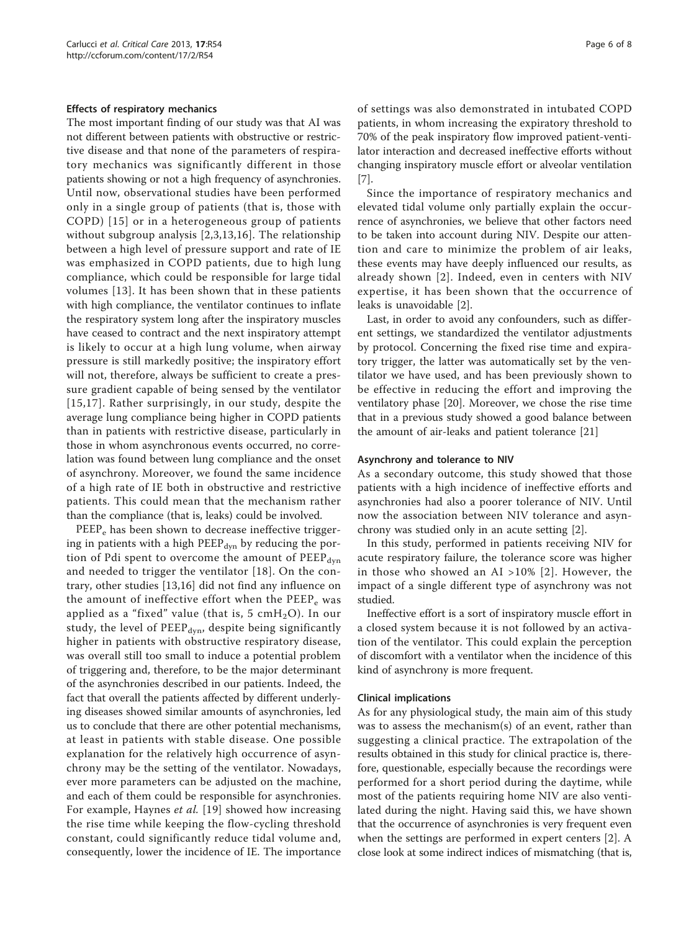#### Effects of respiratory mechanics

The most important finding of our study was that AI was not different between patients with obstructive or restrictive disease and that none of the parameters of respiratory mechanics was significantly different in those patients showing or not a high frequency of asynchronies. Until now, observational studies have been performed only in a single group of patients (that is, those with COPD) [[15](#page-7-0)] or in a heterogeneous group of patients without subgroup analysis [\[2](#page-6-0),[3,](#page-6-0)[13](#page-7-0),[16\]](#page-7-0). The relationship between a high level of pressure support and rate of IE was emphasized in COPD patients, due to high lung compliance, which could be responsible for large tidal volumes [[13](#page-7-0)]. It has been shown that in these patients with high compliance, the ventilator continues to inflate the respiratory system long after the inspiratory muscles have ceased to contract and the next inspiratory attempt is likely to occur at a high lung volume, when airway pressure is still markedly positive; the inspiratory effort will not, therefore, always be sufficient to create a pressure gradient capable of being sensed by the ventilator [[15,17\]](#page-7-0). Rather surprisingly, in our study, despite the average lung compliance being higher in COPD patients than in patients with restrictive disease, particularly in those in whom asynchronous events occurred, no correlation was found between lung compliance and the onset of asynchrony. Moreover, we found the same incidence of a high rate of IE both in obstructive and restrictive patients. This could mean that the mechanism rather than the compliance (that is, leaks) could be involved.

PEEP<sub>e</sub> has been shown to decrease ineffective triggering in patients with a high PEEP $_{dyn}$  by reducing the portion of Pdi spent to overcome the amount of  $PEEP_{dyn}$ and needed to trigger the ventilator [\[18\]](#page-7-0). On the contrary, other studies [\[13](#page-7-0),[16\]](#page-7-0) did not find any influence on the amount of ineffective effort when the PEEP<sub>e</sub> was applied as a "fixed" value (that is, 5  $cmH<sub>2</sub>O$ ). In our study, the level of  $PEEP_{dyn}$ , despite being significantly higher in patients with obstructive respiratory disease, was overall still too small to induce a potential problem of triggering and, therefore, to be the major determinant of the asynchronies described in our patients. Indeed, the fact that overall the patients affected by different underlying diseases showed similar amounts of asynchronies, led us to conclude that there are other potential mechanisms, at least in patients with stable disease. One possible explanation for the relatively high occurrence of asynchrony may be the setting of the ventilator. Nowadays, ever more parameters can be adjusted on the machine, and each of them could be responsible for asynchronies. For example, Haynes et al. [[19](#page-7-0)] showed how increasing the rise time while keeping the flow-cycling threshold constant, could significantly reduce tidal volume and, consequently, lower the incidence of IE. The importance of settings was also demonstrated in intubated COPD patients, in whom increasing the expiratory threshold to 70% of the peak inspiratory flow improved patient-ventilator interaction and decreased ineffective efforts without changing inspiratory muscle effort or alveolar ventilation [[7\]](#page-6-0).

Since the importance of respiratory mechanics and elevated tidal volume only partially explain the occurrence of asynchronies, we believe that other factors need to be taken into account during NIV. Despite our attention and care to minimize the problem of air leaks, these events may have deeply influenced our results, as already shown [[2](#page-6-0)]. Indeed, even in centers with NIV expertise, it has been shown that the occurrence of leaks is unavoidable [[2](#page-6-0)].

Last, in order to avoid any confounders, such as different settings, we standardized the ventilator adjustments by protocol. Concerning the fixed rise time and expiratory trigger, the latter was automatically set by the ventilator we have used, and has been previously shown to be effective in reducing the effort and improving the ventilatory phase [\[20](#page-7-0)]. Moreover, we chose the rise time that in a previous study showed a good balance between the amount of air-leaks and patient tolerance [\[21](#page-7-0)]

#### Asynchrony and tolerance to NIV

As a secondary outcome, this study showed that those patients with a high incidence of ineffective efforts and asynchronies had also a poorer tolerance of NIV. Until now the association between NIV tolerance and asynchrony was studied only in an acute setting [\[2](#page-6-0)].

In this study, performed in patients receiving NIV for acute respiratory failure, the tolerance score was higher in those who showed an AI >10% [[2](#page-6-0)]. However, the impact of a single different type of asynchrony was not studied.

Ineffective effort is a sort of inspiratory muscle effort in a closed system because it is not followed by an activation of the ventilator. This could explain the perception of discomfort with a ventilator when the incidence of this kind of asynchrony is more frequent.

#### Clinical implications

As for any physiological study, the main aim of this study was to assess the mechanism(s) of an event, rather than suggesting a clinical practice. The extrapolation of the results obtained in this study for clinical practice is, therefore, questionable, especially because the recordings were performed for a short period during the daytime, while most of the patients requiring home NIV are also ventilated during the night. Having said this, we have shown that the occurrence of asynchronies is very frequent even when the settings are performed in expert centers [\[2](#page-6-0)]. A close look at some indirect indices of mismatching (that is,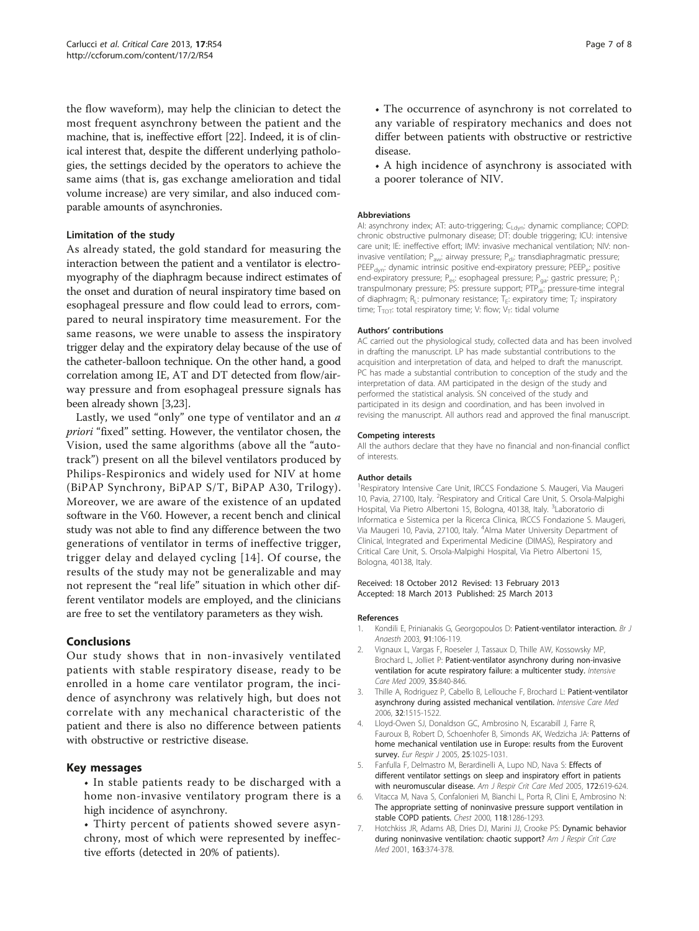<span id="page-6-0"></span>the flow waveform), may help the clinician to detect the most frequent asynchrony between the patient and the machine, that is, ineffective effort [\[22\]](#page-7-0). Indeed, it is of clinical interest that, despite the different underlying pathologies, the settings decided by the operators to achieve the same aims (that is, gas exchange amelioration and tidal volume increase) are very similar, and also induced comparable amounts of asynchronies.

# Limitation of the study

As already stated, the gold standard for measuring the interaction between the patient and a ventilator is electromyography of the diaphragm because indirect estimates of the onset and duration of neural inspiratory time based on esophageal pressure and flow could lead to errors, compared to neural inspiratory time measurement. For the same reasons, we were unable to assess the inspiratory trigger delay and the expiratory delay because of the use of the catheter-balloon technique. On the other hand, a good correlation among IE, AT and DT detected from flow/airway pressure and from esophageal pressure signals has been already shown [3,[23](#page-7-0)].

Lastly, we used "only" one type of ventilator and an a priori "fixed" setting. However, the ventilator chosen, the Vision, used the same algorithms (above all the "autotrack") present on all the bilevel ventilators produced by Philips-Respironics and widely used for NIV at home (BiPAP Synchrony, BiPAP S/T, BiPAP A30, Trilogy). Moreover, we are aware of the existence of an updated software in the V60. However, a recent bench and clinical study was not able to find any difference between the two generations of ventilator in terms of ineffective trigger, trigger delay and delayed cycling [[14\]](#page-7-0). Of course, the results of the study may not be generalizable and may not represent the "real life" situation in which other different ventilator models are employed, and the clinicians are free to set the ventilatory parameters as they wish.

## Conclusions

Our study shows that in non-invasively ventilated patients with stable respiratory disease, ready to be enrolled in a home care ventilator program, the incidence of asynchrony was relatively high, but does not correlate with any mechanical characteristic of the patient and there is also no difference between patients with obstructive or restrictive disease.

## Key messages

• In stable patients ready to be discharged with a home non-invasive ventilatory program there is a high incidence of asynchrony.

• Thirty percent of patients showed severe asynchrony, most of which were represented by ineffective efforts (detected in 20% of patients).

• The occurrence of asynchrony is not correlated to any variable of respiratory mechanics and does not differ between patients with obstructive or restrictive disease.

• A high incidence of asynchrony is associated with a poorer tolerance of NIV.

#### **Abbreviations**

AI: asynchrony index; AT: auto-triggering; C<sub>Ldvn</sub>: dynamic compliance; COPD: chronic obstructive pulmonary disease; DT: double triggering; ICU: intensive care unit; IE: ineffective effort; IMV: invasive mechanical ventilation; NIV: noninvasive ventilation; P<sub>aw</sub>: airway pressure; P<sub>di</sub>: transdiaphragmatic pressure; PEEP<sub>dyn</sub>: dynamic intrinsic positive end-expiratory pressure; PEEP<sub>e</sub>: positive end-expiratory pressure; P<sub>es</sub>: esophageal pressure; P<sub>ga</sub>: gastric pressure; P<sub>L</sub>: transpulmonary pressure; PS: pressure support; PTP<sub>di</sub>: pressure-time integral of diaphragm;  $R_L$ : pulmonary resistance;  $T_E$ : expiratory time;  $T_I$ : inspiratory time; T<sub>TOT</sub>: total respiratory time; V: flow; V<sub>T</sub>: tidal volume

#### Authors' contributions

AC carried out the physiological study, collected data and has been involved in drafting the manuscript. LP has made substantial contributions to the acquisition and interpretation of data, and helped to draft the manuscript. PC has made a substantial contribution to conception of the study and the interpretation of data. AM participated in the design of the study and performed the statistical analysis. SN conceived of the study and participated in its design and coordination, and has been involved in revising the manuscript. All authors read and approved the final manuscript.

#### Competing interests

All the authors declare that they have no financial and non-financial conflict of interests.

#### Author details

<sup>1</sup> Respiratory Intensive Care Unit, IRCCS Fondazione S. Maugeri, Via Maugeri 10, Pavia, 27100, Italy. <sup>2</sup>Respiratory and Critical Care Unit, S. Orsola-Malpighi Hospital, Via Pietro Albertoni 15, Bologna, 40138, Italy. <sup>3</sup>Laboratorio di Informatica e Sistemica per la Ricerca Clinica, IRCCS Fondazione S. Maugeri, Via Maugeri 10, Pavia, 27100, Italy. <sup>4</sup>Alma Mater University Department of Clinical, Integrated and Experimental Medicine (DIMAS), Respiratory and Critical Care Unit, S. Orsola-Malpighi Hospital, Via Pietro Albertoni 15, Bologna, 40138, Italy.

#### Received: 18 October 2012 Revised: 13 February 2013 Accepted: 18 March 2013 Published: 25 March 2013

#### References

- 1. Kondili E, Prinianakis G, Georgopoulos D: [Patient-ventilator interaction.](http://www.ncbi.nlm.nih.gov/pubmed/12821570?dopt=Abstract) Br J Anaesth 2003, 91:106-119.
- 2. Vignaux L, Vargas F, Roeseler J, Tassaux D, Thille AW, Kossowsky MP, Brochard L, Jolliet P: [Patient-ventilator asynchrony during non-invasive](http://www.ncbi.nlm.nih.gov/pubmed/19183949?dopt=Abstract) [ventilation for acute respiratory failure: a multicenter study.](http://www.ncbi.nlm.nih.gov/pubmed/19183949?dopt=Abstract) Intensive Care Med 2009, 35:840-846.
- 3. Thille A, Rodriguez P, Cabello B, Lellouche F, Brochard L: [Patient-ventilator](http://www.ncbi.nlm.nih.gov/pubmed/16896854?dopt=Abstract) [asynchrony during assisted mechanical ventilation.](http://www.ncbi.nlm.nih.gov/pubmed/16896854?dopt=Abstract) Intensive Care Med 2006, 32:1515-1522.
- 4. Lloyd-Owen SJ, Donaldson GC, Ambrosino N, Escarabill J, Farre R, Fauroux B, Robert D, Schoenhofer B, Simonds AK, Wedzicha JA: [Patterns of](http://www.ncbi.nlm.nih.gov/pubmed/15929957?dopt=Abstract) [home mechanical ventilation use in Europe: results from the Eurovent](http://www.ncbi.nlm.nih.gov/pubmed/15929957?dopt=Abstract) [survey.](http://www.ncbi.nlm.nih.gov/pubmed/15929957?dopt=Abstract) Eur Respir J 2005, 25:1025-1031.
- 5. Fanfulla F, Delmastro M, Berardinelli A, Lupo ND, Nava S: [Effects of](http://www.ncbi.nlm.nih.gov/pubmed/15961699?dopt=Abstract) [different ventilator settings on sleep and inspiratory effort in patients](http://www.ncbi.nlm.nih.gov/pubmed/15961699?dopt=Abstract) [with neuromuscular disease.](http://www.ncbi.nlm.nih.gov/pubmed/15961699?dopt=Abstract) Am J Respir Crit Care Med 2005, 172:619-624.
- 6. Vitacca M, Nava S, Confalonieri M, Bianchi L, Porta R, Clini E, Ambrosino N: [The appropriate setting of noninvasive pressure support ventilation in](http://www.ncbi.nlm.nih.gov/pubmed/11083676?dopt=Abstract) [stable COPD patients.](http://www.ncbi.nlm.nih.gov/pubmed/11083676?dopt=Abstract) Chest 2000, 118:1286-1293.
- 7. Hotchkiss JR, Adams AB, Dries DJ, Marini JJ, Crooke PS: [Dynamic behavior](http://www.ncbi.nlm.nih.gov/pubmed/11179109?dopt=Abstract) [during noninvasive ventilation: chaotic support?](http://www.ncbi.nlm.nih.gov/pubmed/11179109?dopt=Abstract) Am J Respir Crit Care Med 2001, 163:374-378.